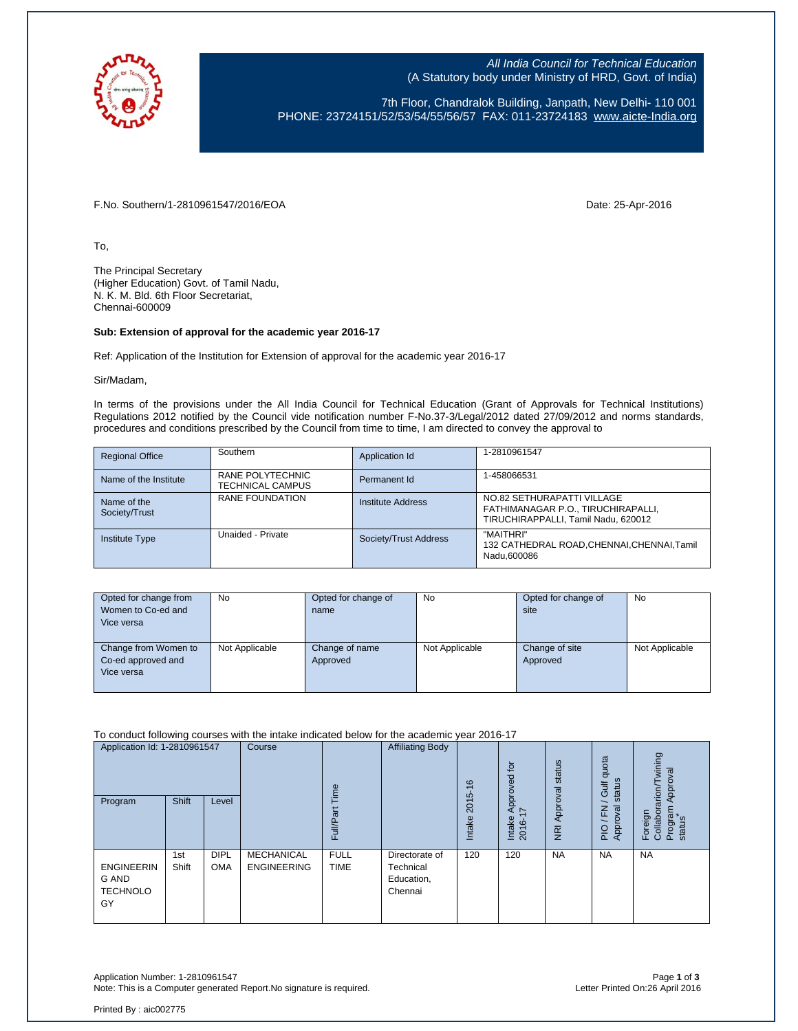

All India Council for Technical Education (A Statutory body under Ministry of HRD, Govt. of India)

7th Floor, Chandralok Building, Janpath, New Delhi- 110 001 PHONE: 23724151/52/53/54/55/56/57 FAX: 011-23724183 [www.aicte-India.org](http://www.aicte-india.org/)

F.No. Southern/1-2810961547/2016/EOA Date: 25-Apr-2016

To,

The Principal Secretary (Higher Education) Govt. of Tamil Nadu, N. K. M. Bld. 6th Floor Secretariat, Chennai-600009

## **Sub: Extension of approval for the academic year 2016-17**

Ref: Application of the Institution for Extension of approval for the academic year 2016-17

Sir/Madam,

In terms of the provisions under the All India Council for Technical Education (Grant of Approvals for Technical Institutions) Regulations 2012 notified by the Council vide notification number F-No.37-3/Legal/2012 dated 27/09/2012 and norms standards, procedures and conditions prescribed by the Council from time to time, I am directed to convey the approval to

| <b>Regional Office</b>       | Southern                                    | Application Id        | 1-2810961547                                                                                            |
|------------------------------|---------------------------------------------|-----------------------|---------------------------------------------------------------------------------------------------------|
| Name of the Institute        | RANE POLYTECHNIC<br><b>TECHNICAL CAMPUS</b> | Permanent Id          | 1-458066531                                                                                             |
| Name of the<br>Society/Trust | RANE FOUNDATION                             | Institute Address     | NO.82 SETHURAPATTI VILLAGE<br>FATHIMANAGAR P.O., TIRUCHIRAPALLI,<br>TIRUCHIRAPPALLI. Tamil Nadu. 620012 |
| <b>Institute Type</b>        | Unaided - Private                           | Society/Trust Address | "MAITHRI"<br>132 CATHEDRAL ROAD, CHENNAI, CHENNAI, Tamil<br>Nadu.600086                                 |

| Opted for change from<br>Women to Co-ed and<br>Vice versa | No.            | Opted for change of<br>name | <b>No</b>      | Opted for change of<br>site | No             |
|-----------------------------------------------------------|----------------|-----------------------------|----------------|-----------------------------|----------------|
| Change from Women to<br>Co-ed approved and<br>Vice versa  | Not Applicable | Change of name<br>Approved  | Not Applicable | Change of site<br>Approved  | Not Applicable |

To conduct following courses with the intake indicated below for the academic year 2016-17

| Application Id: 1-2810961547<br>Program                    | Shift        | Level                     | Course                                  | jme<br>σ<br>Full/P;        | <b>Affiliating Body</b>                              | $\frac{6}{5}$<br>2015<br><b>Intake</b> | $\overline{a}$<br>Approved<br>I7<br>Intake<br>2016- | Approval status<br>$\overline{R}$ | quota<br>status<br><b>Jir</b><br>roval<br>준<br>App<br>PIO | wining<br>Approval<br>$r$ arion/<br>Program<br>status<br>Foreign<br>Collabor |
|------------------------------------------------------------|--------------|---------------------------|-----------------------------------------|----------------------------|------------------------------------------------------|----------------------------------------|-----------------------------------------------------|-----------------------------------|-----------------------------------------------------------|------------------------------------------------------------------------------|
| <b>ENGINEERIN</b><br><b>G AND</b><br><b>TECHNOLO</b><br>GY | 1st<br>Shift | <b>DIPL</b><br><b>OMA</b> | <b>MECHANICAL</b><br><b>ENGINEERING</b> | <b>FULL</b><br><b>TIME</b> | Directorate of<br>Technical<br>Education,<br>Chennai | 120                                    | 120                                                 | <b>NA</b>                         | <b>NA</b>                                                 | <b>NA</b>                                                                    |

Application Number: 1-2810961547 Page **1** of **3** Note: This is a Computer generated Report. No signature is required.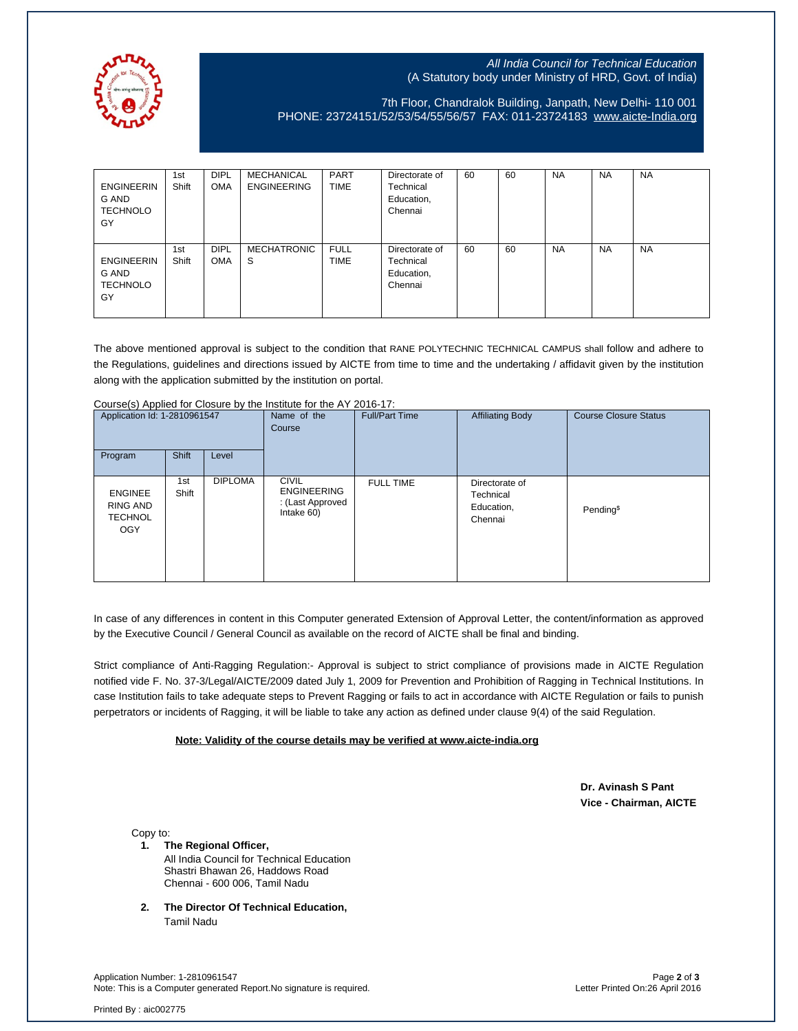

## All India Council for Technical Education (A Statutory body under Ministry of HRD, Govt. of India)

7th Floor, Chandralok Building, Janpath, New Delhi- 110 001 PHONE: 23724151/52/53/54/55/56/57 FAX: 011-23724183 [www.aicte-India.org](http://www.aicte-india.org/)

| <b>ENGINEERIN</b><br>G AND<br><b>TECHNOLO</b><br>GY | 1st<br>Shift | <b>DIPL</b><br><b>OMA</b> | MECHANICAL<br><b>ENGINEERING</b> | <b>PART</b><br><b>TIME</b> | Directorate of<br>Technical<br>Education,<br>Chennai | 60 | 60 | <b>NA</b> | <b>NA</b> | <b>NA</b> |
|-----------------------------------------------------|--------------|---------------------------|----------------------------------|----------------------------|------------------------------------------------------|----|----|-----------|-----------|-----------|
| <b>ENGINEERIN</b><br>G AND<br>TECHNOLO<br>GY        | 1st<br>Shift | <b>DIPL</b><br><b>OMA</b> | <b>MECHATRONIC</b><br>S.         | <b>FULL</b><br><b>TIME</b> | Directorate of<br>Technical<br>Education,<br>Chennai | 60 | 60 | <b>NA</b> | <b>NA</b> | <b>NA</b> |

The above mentioned approval is subject to the condition that RANE POLYTECHNIC TECHNICAL CAMPUS shall follow and adhere to the Regulations, guidelines and directions issued by AICTE from time to time and the undertaking / affidavit given by the institution along with the application submitted by the institution on portal.

| Application Id: 1-2810961547                               |              | $\frac{1}{2}$<br>Name of the<br>Course | <b>Full/Part Time</b>                                                | <b>Affiliating Body</b> | <b>Course Closure Status</b>                         |                       |
|------------------------------------------------------------|--------------|----------------------------------------|----------------------------------------------------------------------|-------------------------|------------------------------------------------------|-----------------------|
| Program                                                    | Shift        | Level                                  |                                                                      |                         |                                                      |                       |
| <b>ENGINEE</b><br>RING AND<br><b>TECHNOL</b><br><b>OGY</b> | 1st<br>Shift | <b>DIPLOMA</b>                         | <b>CIVIL</b><br><b>ENGINEERING</b><br>: (Last Approved<br>Intake 60) | <b>FULL TIME</b>        | Directorate of<br>Technical<br>Education,<br>Chennai | Pending <sup>\$</sup> |

Course(s) Applied for Closure by the Institute for the AY 2016-17:

In case of any differences in content in this Computer generated Extension of Approval Letter, the content/information as approved by the Executive Council / General Council as available on the record of AICTE shall be final and binding.

Strict compliance of Anti-Ragging Regulation:- Approval is subject to strict compliance of provisions made in AICTE Regulation notified vide F. No. 37-3/Legal/AICTE/2009 dated July 1, 2009 for Prevention and Prohibition of Ragging in Technical Institutions. In case Institution fails to take adequate steps to Prevent Ragging or fails to act in accordance with AICTE Regulation or fails to punish perpetrators or incidents of Ragging, it will be liable to take any action as defined under clause 9(4) of the said Regulation.

## **Note: Validity of the course details may be verified at www.aicte-india.org**

 **Dr. Avinash S Pant Vice - Chairman, AICTE**

Copy to:

**1. The Regional Officer,**

All India Council for Technical Education Shastri Bhawan 26, Haddows Road Chennai - 600 006, Tamil Nadu

**2. The Director Of Technical Education,** Tamil Nadu

Application Number: 1-2810961547 Page **2** of **3** Note: This is a Computer generated Report.No signature is required.

Printed By : aic002775